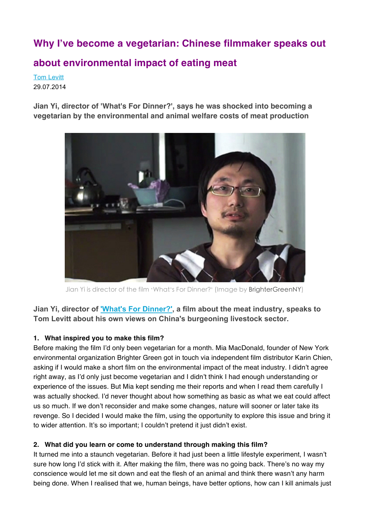# **Why I've become a vegetarian: Chinese filmmaker speaks out**

# **about environmental impact of eating meat**

Tom Levitt 29.07.2014

**Jian Yi, director of 'What's For Dinner?', says he was shocked into becoming a vegetarian by the environmental and animal welfare costs of meat production**



Jian Yi is director of the film 'What's For Dinner?' (Image by BrighterGreenNY)

**Jian Yi, director of 'What's For Dinner?', a film about the meat industry, speaks to Tom Levitt about his own views on China's burgeoning livestock sector.**

## **1. What inspired you to make this film?**

Before making the film I'd only been vegetarian for a month. Mia MacDonald, founder of New York environmental organization Brighter Green got in touch via independent film distributor Karin Chien, asking if I would make a short film on the environmental impact of the meat industry. I didn't agree right away, as I'd only just become vegetarian and I didn't think I had enough understanding or experience of the issues. But Mia kept sending me their reports and when I read them carefully I was actually shocked. I'd never thought about how something as basic as what we eat could affect us so much. If we don't reconsider and make some changes, nature will sooner or later take its revenge. So I decided I would make the film, using the opportunity to explore this issue and bring it to wider attention. It's so important; I couldn't pretend it just didn't exist.

## **2. What did you learn or come to understand through making this film?**

It turned me into a staunch vegetarian. Before it had just been a little lifestyle experiment, I wasn't sure how long I'd stick with it. After making the film, there was no going back. There's no way my conscience would let me sit down and eat the flesh of an animal and think there wasn't any harm being done. When I realised that we, human beings, have better options, how can I kill animals just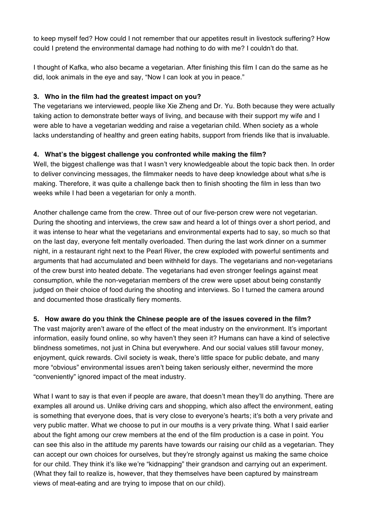to keep myself fed? How could I not remember that our appetites result in livestock suffering? How could I pretend the environmental damage had nothing to do with me? I couldn't do that.

I thought of Kafka, who also became a vegetarian. After finishing this film I can do the same as he did, look animals in the eye and say, "Now I can look at you in peace."

#### **3. Who in the film had the greatest impact on you?**

The vegetarians we interviewed, people like Xie Zheng and Dr. Yu. Both because they were actually taking action to demonstrate better ways of living, and because with their support my wife and I were able to have a vegetarian wedding and raise a vegetarian child. When society as a whole lacks understanding of healthy and green eating habits, support from friends like that is invaluable.

## **4. What's the biggest challenge you confronted while making the film?**

Well, the biggest challenge was that I wasn't very knowledgeable about the topic back then. In order to deliver convincing messages, the filmmaker needs to have deep knowledge about what s/he is making. Therefore, it was quite a challenge back then to finish shooting the film in less than two weeks while I had been a vegetarian for only a month.

Another challenge came from the crew. Three out of our five-person crew were not vegetarian. During the shooting and interviews, the crew saw and heard a lot of things over a short period, and it was intense to hear what the vegetarians and environmental experts had to say, so much so that on the last day, everyone felt mentally overloaded. Then during the last work dinner on a summer night, in a restaurant right next to the Pearl River, the crew exploded with powerful sentiments and arguments that had accumulated and been withheld for days. The vegetarians and non-vegetarians of the crew burst into heated debate. The vegetarians had even stronger feelings against meat consumption, while the non-vegetarian members of the crew were upset about being constantly judged on their choice of food during the shooting and interviews. So I turned the camera around and documented those drastically fiery moments.

## **5. How aware do you think the Chinese people are of the issues covered in the film?**

The vast majority aren't aware of the effect of the meat industry on the environment. It's important information, easily found online, so why haven't they seen it? Humans can have a kind of selective blindness sometimes, not just in China but everywhere. And our social values still favour money, enjoyment, quick rewards. Civil society is weak, there's little space for public debate, and many more "obvious" environmental issues aren't being taken seriously either, nevermind the more "conveniently" ignored impact of the meat industry.

What I want to say is that even if people are aware, that doesn't mean they'll do anything. There are examples all around us. Unlike driving cars and shopping, which also affect the environment, eating is something that everyone does, that is very close to everyone's hearts; it's both a very private and very public matter. What we choose to put in our mouths is a very private thing. What I said earlier about the fight among our crew members at the end of the film production is a case in point. You can see this also in the attitude my parents have towards our raising our child as a vegetarian. They can accept our own choices for ourselves, but they're strongly against us making the same choice for our child. They think it's like we're "kidnapping" their grandson and carrying out an experiment. (What they fail to realize is, however, that they themselves have been captured by mainstream views of meat-eating and are trying to impose that on our child).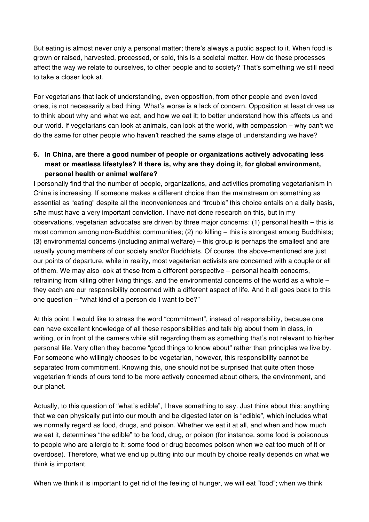But eating is almost never only a personal matter; there's always a public aspect to it. When food is grown or raised, harvested, processed, or sold, this is a societal matter. How do these processes affect the way we relate to ourselves, to other people and to society? That's something we still need to take a closer look at.

For vegetarians that lack of understanding, even opposition, from other people and even loved ones, is not necessarily a bad thing. What's worse is a lack of concern. Opposition at least drives us to think about why and what we eat, and how we eat it; to better understand how this affects us and our world. If vegetarians can look at animals, can look at the world, with compassion – why can't we do the same for other people who haven't reached the same stage of understanding we have?

## **6. In China, are there a good number of people or organizations actively advocating less meat or meatless lifestyles? If there is, why are they doing it, for global environment, personal health or animal welfare?**

I personally find that the number of people, organizations, and activities promoting vegetarianism in China is increasing. If someone makes a different choice than the mainstream on something as essential as "eating" despite all the inconveniences and "trouble" this choice entails on a daily basis, s/he must have a very important conviction. I have not done research on this, but in my observations, vegetarian advocates are driven by three major concerns: (1) personal health – this is most common among non-Buddhist communities; (2) no killing – this is strongest among Buddhists; (3) environmental concerns (including animal welfare) – this group is perhaps the smallest and are usually young members of our society and/or Buddhists. Of course, the above-mentioned are just our points of departure, while in reality, most vegetarian activists are concerned with a couple or all of them. We may also look at these from a different perspective – personal health concerns, refraining from killing other living things, and the environmental concerns of the world as a whole – they each are our responsibility concerned with a different aspect of life. And it all goes back to this one question – "what kind of a person do I want to be?"

At this point, I would like to stress the word "commitment", instead of responsibility, because one can have excellent knowledge of all these responsibilities and talk big about them in class, in writing, or in front of the camera while still regarding them as something that's not relevant to his/her personal life. Very often they become "good things to know about" rather than principles we live by. For someone who willingly chooses to be vegetarian, however, this responsibility cannot be separated from commitment. Knowing this, one should not be surprised that quite often those vegetarian friends of ours tend to be more actively concerned about others, the environment, and our planet.

Actually, to this question of "what's edible", I have something to say. Just think about this: anything that we can physically put into our mouth and be digested later on is "edible", which includes what we normally regard as food, drugs, and poison. Whether we eat it at all, and when and how much we eat it, determines "the edible" to be food, drug, or poison (for instance, some food is poisonous to people who are allergic to it; some food or drug becomes poison when we eat too much of it or overdose). Therefore, what we end up putting into our mouth by choice really depends on what we think is important.

When we think it is important to get rid of the feeling of hunger, we will eat "food"; when we think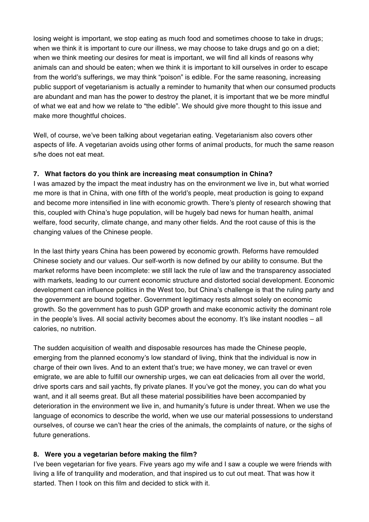losing weight is important, we stop eating as much food and sometimes choose to take in drugs; when we think it is important to cure our illness, we may choose to take drugs and go on a diet; when we think meeting our desires for meat is important, we will find all kinds of reasons why animals can and should be eaten; when we think it is important to kill ourselves in order to escape from the world's sufferings, we may think "poison" is edible. For the same reasoning, increasing public support of vegetarianism is actually a reminder to humanity that when our consumed products are abundant and man has the power to destroy the planet, it is important that we be more mindful of what we eat and how we relate to "the edible". We should give more thought to this issue and make more thoughtful choices.

Well, of course, we've been talking about vegetarian eating. Vegetarianism also covers other aspects of life. A vegetarian avoids using other forms of animal products, for much the same reason s/he does not eat meat.

#### **7. What factors do you think are increasing meat consumption in China?**

I was amazed by the impact the meat industry has on the environment we live in, but what worried me more is that in China, with one fifth of the world's people, meat production is going to expand and become more intensified in line with economic growth. There's plenty of research showing that this, coupled with China's huge population, will be hugely bad news for human health, animal welfare, food security, climate change, and many other fields. And the root cause of this is the changing values of the Chinese people.

In the last thirty years China has been powered by economic growth. Reforms have remoulded Chinese society and our values. Our self-worth is now defined by our ability to consume. But the market reforms have been incomplete: we still lack the rule of law and the transparency associated with markets, leading to our current economic structure and distorted social development. Economic development can influence politics in the West too, but China's challenge is that the ruling party and the government are bound together. Government legitimacy rests almost solely on economic growth. So the government has to push GDP growth and make economic activity the dominant role in the people's lives. All social activity becomes about the economy. It's like instant noodles – all calories, no nutrition.

The sudden acquisition of wealth and disposable resources has made the Chinese people, emerging from the planned economy's low standard of living, think that the individual is now in charge of their own lives. And to an extent that's true; we have money, we can travel or even emigrate, we are able to fulfill our ownership urges, we can eat delicacies from all over the world, drive sports cars and sail yachts, fly private planes. If you've got the money, you can do what you want, and it all seems great. But all these material possibilities have been accompanied by deterioration in the environment we live in, and humanity's future is under threat. When we use the language of economics to describe the world, when we use our material possessions to understand ourselves, of course we can't hear the cries of the animals, the complaints of nature, or the sighs of future generations.

#### **8. Were you a vegetarian before making the film?**

I've been vegetarian for five years. Five years ago my wife and I saw a couple we were friends with living a life of tranquility and moderation, and that inspired us to cut out meat. That was how it started. Then I took on this film and decided to stick with it.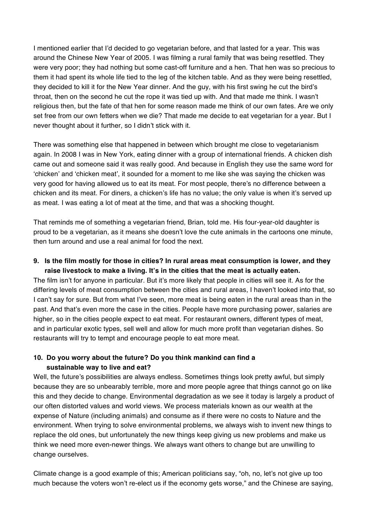I mentioned earlier that I'd decided to go vegetarian before, and that lasted for a year. This was around the Chinese New Year of 2005. I was filming a rural family that was being resettled. They were very poor; they had nothing but some cast-off furniture and a hen. That hen was so precious to them it had spent its whole life tied to the leg of the kitchen table. And as they were being resettled, they decided to kill it for the New Year dinner. And the guy, with his first swing he cut the bird's throat, then on the second he cut the rope it was tied up with. And that made me think. I wasn't religious then, but the fate of that hen for some reason made me think of our own fates. Are we only set free from our own fetters when we die? That made me decide to eat vegetarian for a year. But I never thought about it further, so I didn't stick with it.

There was something else that happened in between which brought me close to vegetarianism again. In 2008 I was in New York, eating dinner with a group of international friends. A chicken dish came out and someone said it was really good. And because in English they use the same word for 'chicken' and 'chicken meat', it sounded for a moment to me like she was saying the chicken was very good for having allowed us to eat its meat. For most people, there's no difference between a chicken and its meat. For diners, a chicken's life has no value; the only value is when it's served up as meat. I was eating a lot of meat at the time, and that was a shocking thought.

That reminds me of something a vegetarian friend, Brian, told me. His four-year-old daughter is proud to be a vegetarian, as it means she doesn't love the cute animals in the cartoons one minute, then turn around and use a real animal for food the next.

#### **9. Is the film mostly for those in cities? In rural areas meat consumption is lower, and they raise livestock to make a living. It's in the cities that the meat is actually eaten.**

The film isn't for anyone in particular. But it's more likely that people in cities will see it. As for the differing levels of meat consumption between the cities and rural areas, I haven't looked into that, so I can't say for sure. But from what I've seen, more meat is being eaten in the rural areas than in the past. And that's even more the case in the cities. People have more purchasing power, salaries are higher, so in the cities people expect to eat meat. For restaurant owners, different types of meat, and in particular exotic types, sell well and allow for much more profit than vegetarian dishes. So restaurants will try to tempt and encourage people to eat more meat.

## **10. Do you worry about the future? Do you think mankind can find a sustainable way to live and eat?**

Well, the future's possibilities are always endless. Sometimes things look pretty awful, but simply because they are so unbearably terrible, more and more people agree that things cannot go on like this and they decide to change. Environmental degradation as we see it today is largely a product of our often distorted values and world views. We process materials known as our wealth at the expense of Nature (including animals) and consume as if there were no costs to Nature and the environment. When trying to solve environmental problems, we always wish to invent new things to replace the old ones, but unfortunately the new things keep giving us new problems and make us think we need more even-newer things. We always want others to change but are unwilling to change ourselves.

Climate change is a good example of this; American politicians say, "oh, no, let's not give up too much because the voters won't re-elect us if the economy gets worse," and the Chinese are saying,